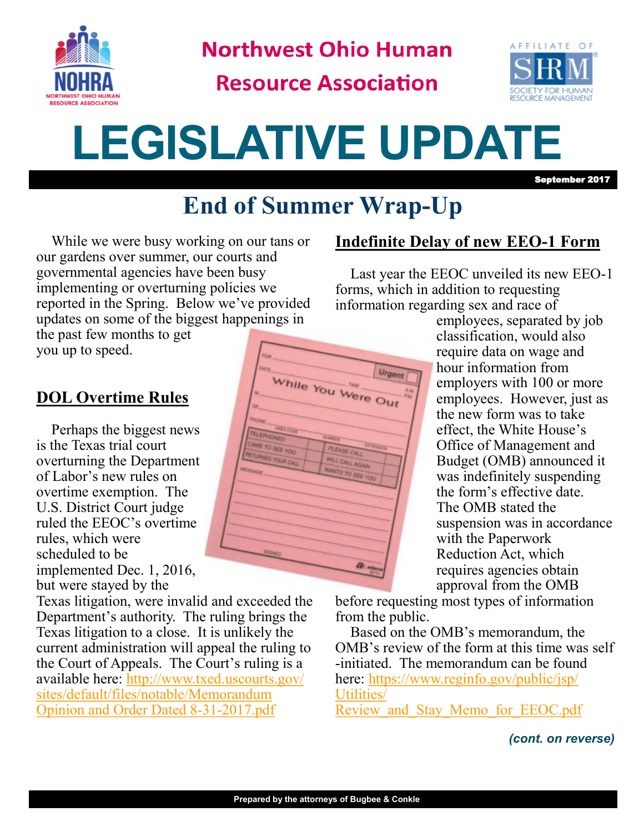

**Northwest Ohio Human** 

**Resource Association** 



# **LEGISLATIVE UPDATE**

September 2017

## **End of Summer Wrap-Up**

While we were busy working on our tans or our gardens over summer, our courts and governmental agencies have been busy implementing or overturning policies we reported in the Spring. Below we've provided updates on some of the biggest happenings in

the past few months to get you up to speed.

#### **DOL Overtime Rules**

Perhaps the biggest news is the Texas trial court overturning the Department of Labor's new rules on overtime exemption. The U.S. District Court judge ruled the EEOC's overtime rules, which were scheduled to be implemented Dec. 1, 2016, but were stayed by the

Texas litigation, were invalid and exceeded the Department's authority. The ruling brings the Texas litigation to a close. It is unlikely the current administration will appeal the ruling to the Court of Appeals. The Court's ruling is a available here: [http://www.txed.uscourts.gov/](http://www.txed.uscourts.gov/sites/default/files/notable/Memorandum%20Opinion%20and%20Order%20Dated%208-31-2017.pdf) sites/default/files/notable/Memorandum [Opinion and Order Dated 8](http://www.txed.uscourts.gov/sites/default/files/notable/Memorandum%20Opinion%20and%20Order%20Dated%208-31-2017.pdf)-31-2017.pdf



#### **Indefinite Delay of new EEO-1 Form**

Last year the EEOC unveiled its new EEO-1 forms, which in addition to requesting information regarding sex and race of

> employees, separated by job classification, would also require data on wage and hour information from employers with 100 or more employees. However, just as the new form was to take effect, the White House's Office of Management and Budget (OMB) announced it was indefinitely suspending the form's effective date. The OMB stated the suspension was in accordance with the Paperwork Reduction Act, which requires agencies obtain approval from the OMB

before requesting most types of information from the public.

Based on the OMB's memorandum, the OMB's review of the form at this time was self -initiated. The memorandum can be found here: [https://www.reginfo.gov/public/jsp/](https://www.reginfo.gov/public/jsp/Utilities/Review_and_Stay_Memo_for_EEOC.pdf) [Utilities/](https://www.reginfo.gov/public/jsp/Utilities/Review_and_Stay_Memo_for_EEOC.pdf) Review and Stay Memo for EEOC.pdf

*(cont. on reverse)*